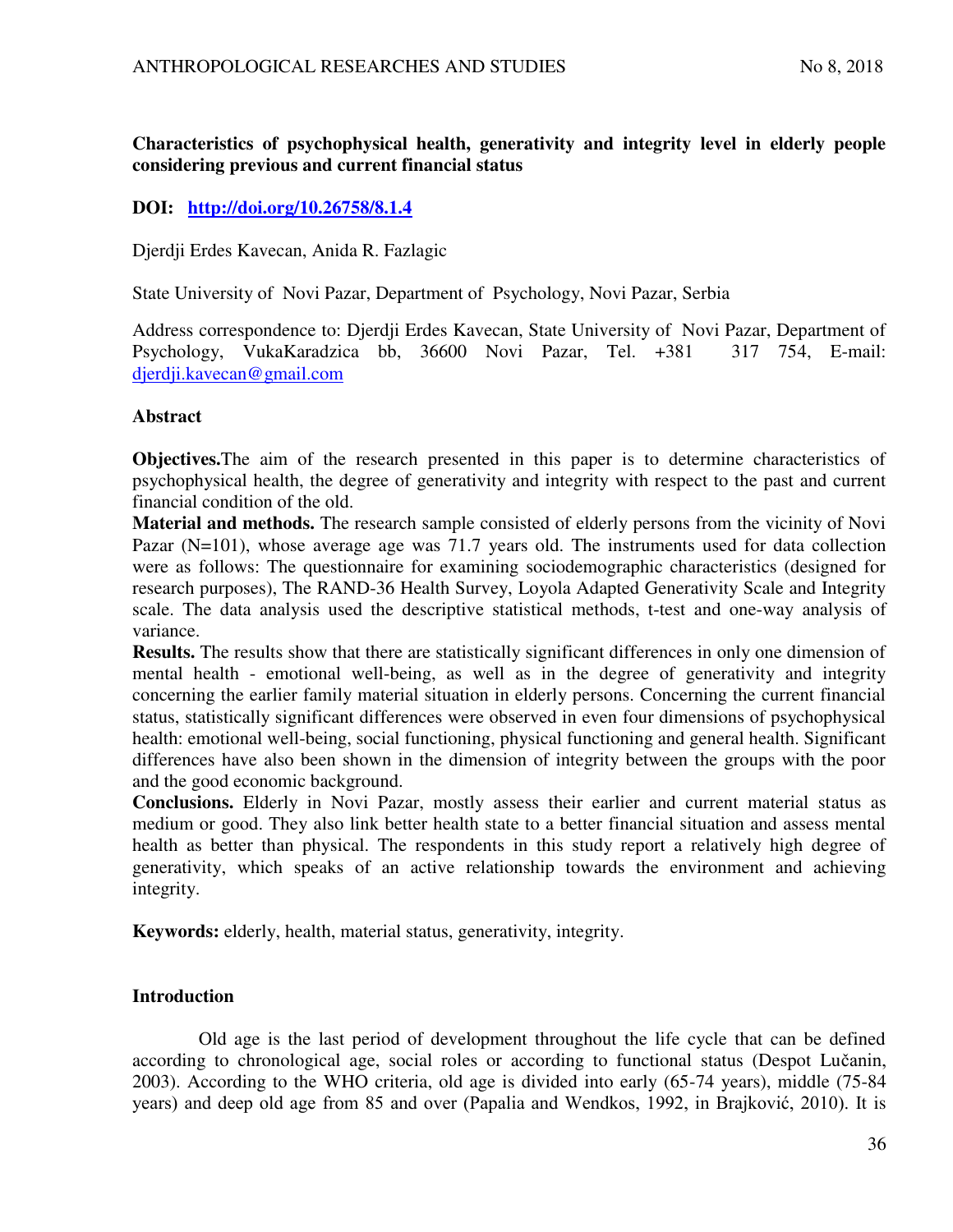**Characteristics of psychophysical health, generativity and integrity level in elderly people considering previous and current financial status** 

# **DOI: <http://doi.org/10.26758/8.1.4>**

Djerdji Erdes Kavecan, Anida R. Fazlagic

State University of Novi Pazar, Department of Psychology, Novi Pazar, Serbia

Address correspondence to: Djerdji Erdes Kavecan, State University of Novi Pazar, Department of Psychology, VukaKaradzica bb, 36600 Novi Pazar, Tel. +381 317 754, E-mail: [djerdji.kavecan@gmail.com](mailto:djerdji.kavecan@gmail.com) 

## **Abstract**

**Objectives.**The aim of the research presented in this paper is to determine characteristics of psychophysical health, the degree of generativity and integrity with respect to the past and current financial condition of the old.

**Material and methods.** The research sample consisted of elderly persons from the vicinity of Novi Pazar (N=101), whose average age was 71.7 years old. The instruments used for data collection were as follows: The questionnaire for examining sociodemographic characteristics (designed for research purposes), The RAND-36 Health Survey, Loyola Adapted Generativity Scale and Integrity scale. The data analysis used the descriptive statistical methods, t-test and one-way analysis of variance.

**Results.** The results show that there are statistically significant differences in only one dimension of mental health - emotional well-being, as well as in the degree of generativity and integrity concerning the earlier family material situation in elderly persons. Concerning the current financial status, statistically significant differences were observed in even four dimensions of psychophysical health: emotional well-being, social functioning, physical functioning and general health. Significant differences have also been shown in the dimension of integrity between the groups with the poor and the good economic background.

**Conclusions.** Elderly in Novi Pazar, mostly assess their earlier and current material status as medium or good. They also link better health state to a better financial situation and assess mental health as better than physical. The respondents in this study report a relatively high degree of generativity, which speaks of an active relationship towards the environment and achieving integrity.

**Keywords:** elderly, health, material status, generativity, integrity.

## **Introduction**

Old age is the last period of development throughout the life cycle that can be defined according to chronological age, social roles or according to functional status (Despot Lučanin, 2003). According to the WHO criteria, old age is divided into early (65-74 years), middle (75-84 years) and deep old age from 85 and over (Papalia and Wendkos, 1992, in Brajković, 2010). It is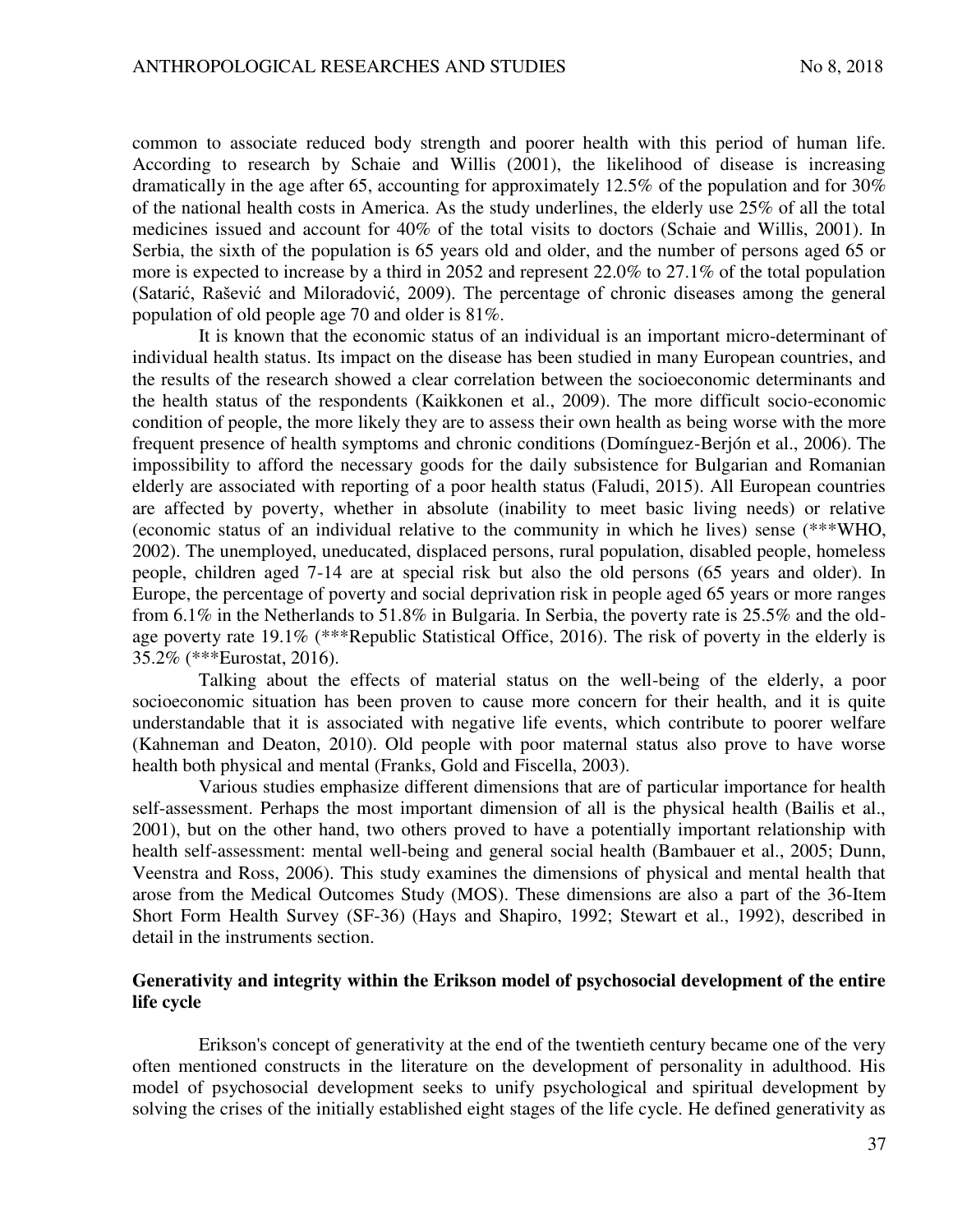common to associate reduced body strength and poorer health with this period of human life. According to research by Schaie and Willis (2001), the likelihood of disease is increasing dramatically in the age after 65, accounting for approximately 12.5% of the population and for 30% of the national health costs in America. As the study underlines, the elderly use 25% of all the total medicines issued and account for 40% of the total visits to doctors (Schaie and Willis, 2001). In Serbia, the sixth of the population is 65 years old and older, and the number of persons aged 65 or more is expected to increase by a third in 2052 and represent 22.0% to 27.1% of the total population (Satarić, Rašević and Miloradović, 2009). The percentage of chronic diseases among the general population of old people age 70 and older is 81%.

It is known that the economic status of an individual is an important micro-determinant of individual health status. Its impact on the disease has been studied in many European countries, and the results of the research showed a clear correlation between the socioeconomic determinants and the health status of the respondents (Kaikkonen et al., 2009). The more difficult socio-economic condition of people, the more likely they are to assess their own health as being worse with the more frequent presence of health symptoms and chronic conditions (Domínguez-Berjón et al., 2006). The impossibility to afford the necessary goods for the daily subsistence for Bulgarian and Romanian elderly are associated with reporting of a poor health status (Faludi, 2015). All European countries are affected by poverty, whether in absolute (inability to meet basic living needs) or relative (economic status of an individual relative to the community in which he lives) sense (\*\*\*WHO, 2002). The unemployed, uneducated, displaced persons, rural population, disabled people, homeless people, children aged 7-14 are at special risk but also the old persons (65 years and older). In Europe, the percentage of poverty and social deprivation risk in people aged 65 years or more ranges from 6.1% in the Netherlands to 51.8% in Bulgaria. In Serbia, the poverty rate is 25.5% and the oldage poverty rate 19.1% (\*\*\*Republic Statistical Office, 2016). The risk of poverty in the elderly is 35.2% (\*\*\*Eurostat, 2016).

Talking about the effects of material status on the well-being of the elderly, a poor socioeconomic situation has been proven to cause more concern for their health, and it is quite understandable that it is associated with negative life events, which contribute to poorer welfare (Kahneman and Deaton, 2010). Old people with poor maternal status also prove to have worse health both physical and mental (Franks, Gold and Fiscella, 2003).

Various studies emphasize different dimensions that are of particular importance for health self-assessment. Perhaps the most important dimension of all is the physical health (Bailis et al., 2001), but on the other hand, two others proved to have a potentially important relationship with health self-assessment: mental well-being and general social health (Bambauer et al., 2005; Dunn, Veenstra and Ross, 2006). This study examines the dimensions of physical and mental health that arose from the Medical Outcomes Study (MOS). These dimensions are also a part of the 36-Item Short Form Health Survey (SF-36) (Hays and Shapiro, 1992; Stewart et al., 1992), described in detail in the instruments section.

## **Generativity and integrity within the Erikson model of psychosocial development of the entire life cycle**

Erikson's concept of generativity at the end of the twentieth century became one of the very often mentioned constructs in the literature on the development of personality in adulthood. His model of psychosocial development seeks to unify psychological and spiritual development by solving the crises of the initially established eight stages of the life cycle. He defined generativity as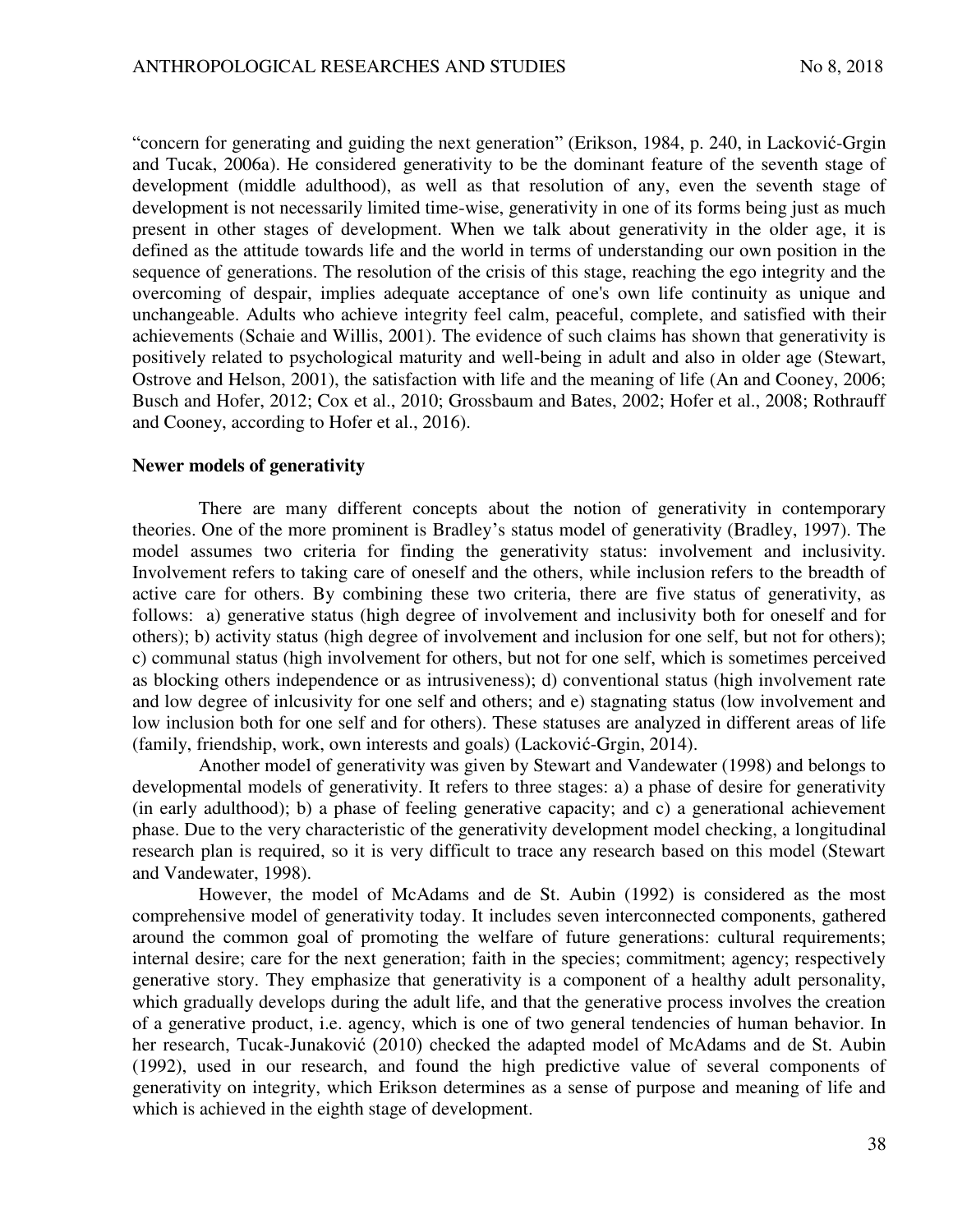"concern for generating and guiding the next generation" (Erikson, 1984, p. 240, in Lacković-Grgin and Tucak, 2006a). He considered generativity to be the dominant feature of the seventh stage of development (middle adulthood), as well as that resolution of any, even the seventh stage of development is not necessarily limited time-wise, generativity in one of its forms being just as much present in other stages of development. When we talk about generativity in the older age, it is defined as the attitude towards life and the world in terms of understanding our own position in the sequence of generations. The resolution of the crisis of this stage, reaching the ego integrity and the overcoming of despair, implies adequate acceptance of one's own life continuity as unique and unchangeable. Adults who achieve integrity feel calm, peaceful, complete, and satisfied with their achievements (Schaie and Willis, 2001). The evidence of such claims has shown that generativity is positively related to psychological maturity and well-being in adult and also in older age (Stewart, Ostrove and Helson, 2001), the satisfaction with life and the meaning of life (An and Cooney, 2006; Busch and Hofer, 2012; Cox et al., 2010; Grossbaum and Bates, 2002; Hofer et al., 2008; Rothrauff and Cooney, according to Hofer et al., 2016).

#### **Newer models of generativity**

There are many different concepts about the notion of generativity in contemporary theories. One of the more prominent is Bradley's status model of generativity (Bradley, 1997). The model assumes two criteria for finding the generativity status: involvement and inclusivity. Involvement refers to taking care of oneself and the others, while inclusion refers to the breadth of active care for others. By combining these two criteria, there are five status of generativity, as follows: a) generative status (high degree of involvement and inclusivity both for oneself and for others); b) activity status (high degree of involvement and inclusion for one self, but not for others); c) communal status (high involvement for others, but not for one self, which is sometimes perceived as blocking others independence or as intrusiveness); d) conventional status (high involvement rate and low degree of inlcusivity for one self and others; and e) stagnating status (low involvement and low inclusion both for one self and for others). These statuses are analyzed in different areas of life (family, friendship, work, own interests and goals) (Lacković-Grgin, 2014).

Another model of generativity was given by Stewart and Vandewater (1998) and belongs to developmental models of generativity. It refers to three stages: a) a phase of desire for generativity (in early adulthood); b) a phase of feeling generative capacity; and c) a generational achievement phase. Due to the very characteristic of the generativity development model checking, a longitudinal research plan is required, so it is very difficult to trace any research based on this model (Stewart and Vandewater, 1998).

However, the model of McAdams and de St. Aubin (1992) is considered as the most comprehensive model of generativity today. It includes seven interconnected components, gathered around the common goal of promoting the welfare of future generations: cultural requirements; internal desire; care for the next generation; faith in the species; commitment; agency; respectively generative story. They emphasize that generativity is a component of a healthy adult personality, which gradually develops during the adult life, and that the generative process involves the creation of a generative product, i.e. agency, which is one of two general tendencies of human behavior. In her research, Tucak-Junaković (2010) checked the adapted model of McAdams and de St. Aubin (1992), used in our research, and found the high predictive value of several components of generativity on integrity, which Erikson determines as a sense of purpose and meaning of life and which is achieved in the eighth stage of development.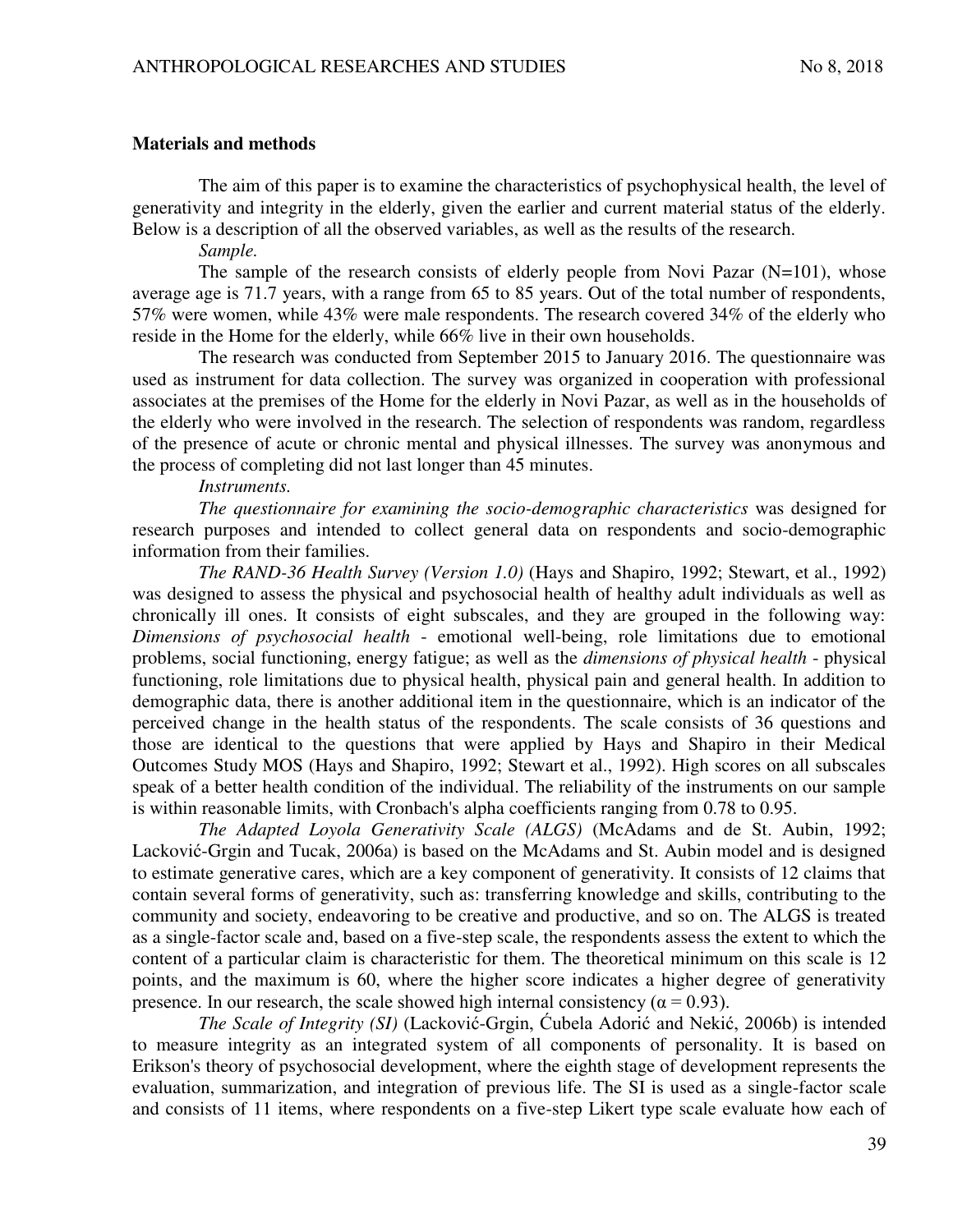#### **Materials and methods**

The aim of this paper is to examine the characteristics of psychophysical health, the level of generativity and integrity in the elderly, given the earlier and current material status of the elderly. Below is a description of all the observed variables, as well as the results of the research.

*Sample.*

The sample of the research consists of elderly people from Novi Pazar  $(N=101)$ , whose average age is 71.7 years, with a range from 65 to 85 years. Out of the total number of respondents, 57% were women, while 43% were male respondents. The research covered 34% of the elderly who reside in the Home for the elderly, while 66% live in their own households.

The research was conducted from September 2015 to January 2016. The questionnaire was used as instrument for data collection. The survey was organized in cooperation with professional associates at the premises of the Home for the elderly in Novi Pazar, as well as in the households of the elderly who were involved in the research. The selection of respondents was random, regardless of the presence of acute or chronic mental and physical illnesses. The survey was anonymous and the process of completing did not last longer than 45 minutes.

### *Instruments.*

*The questionnaire for examining the socio-demographic characteristics* was designed for research purposes and intended to collect general data on respondents and socio-demographic information from their families.

*The RAND-36 Health Survey (Version 1.0)* (Hays and Shapiro, 1992; Stewart, et al., 1992) was designed to assess the physical and psychosocial health of healthy adult individuals as well as chronically ill ones. It consists of eight subscales, and they are grouped in the following way: *Dimensions of psychosocial health* - emotional well-being, role limitations due to emotional problems, social functioning, energy fatigue; as well as the *dimensions of physical health* - physical functioning, role limitations due to physical health, physical pain and general health. In addition to demographic data, there is another additional item in the questionnaire, which is an indicator of the perceived change in the health status of the respondents. The scale consists of 36 questions and those are identical to the questions that were applied by Hays and Shapiro in their Medical Outcomes Study MOS (Hays and Shapiro, 1992; Stewart et al., 1992). High scores on all subscales speak of a better health condition of the individual. The reliability of the instruments on our sample is within reasonable limits, with Cronbach's alpha coefficients ranging from 0.78 to 0.95.

*The Adapted Loyola Generativity Scale (ALGS)* (McAdams and de St. Aubin, 1992; Lacković-Grgin and Tucak, 2006a) is based on the McAdams and St. Aubin model and is designed to estimate generative cares, which are a key component of generativity. It consists of 12 claims that contain several forms of generativity, such as: transferring knowledge and skills, contributing to the community and society, endeavoring to be creative and productive, and so on. The ALGS is treated as a single-factor scale and, based on a five-step scale, the respondents assess the extent to which the content of a particular claim is characteristic for them. The theoretical minimum on this scale is 12 points, and the maximum is 60, where the higher score indicates a higher degree of generativity presence. In our research, the scale showed high internal consistency ( $\alpha$  = 0.93).

*The Scale of Integrity (SI)* (Lacković-Grgin, Ćubela Adorić and Nekić, 2006b) is intended to measure integrity as an integrated system of all components of personality. It is based on Erikson's theory of psychosocial development, where the eighth stage of development represents the evaluation, summarization, and integration of previous life. The SI is used as a single-factor scale and consists of 11 items, where respondents on a five-step Likert type scale evaluate how each of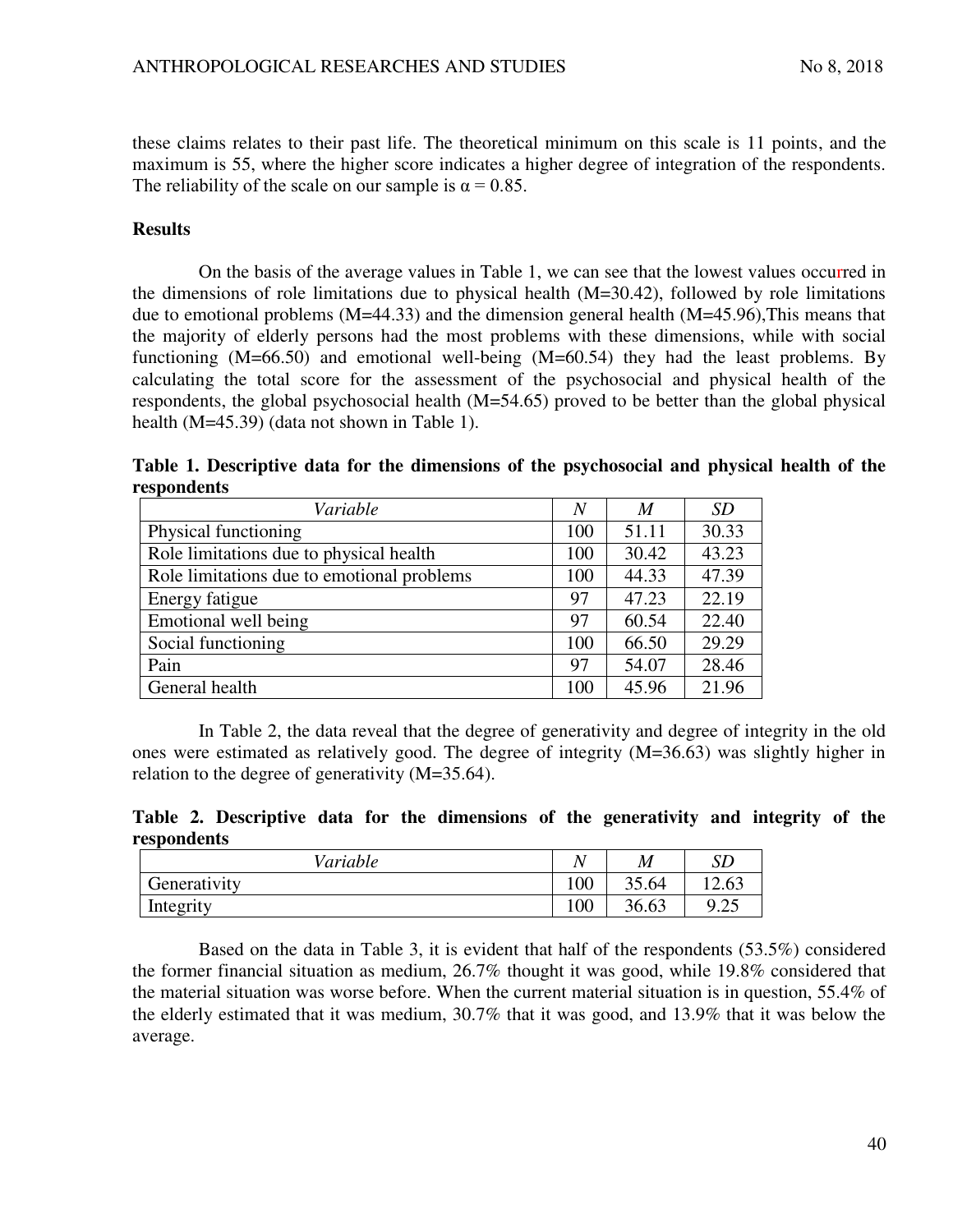these claims relates to their past life. The theoretical minimum on this scale is 11 points, and the maximum is 55, where the higher score indicates a higher degree of integration of the respondents. The reliability of the scale on our sample is  $\alpha = 0.85$ .

## **Results**

On the basis of the average values in Table 1, we can see that the lowest values occurred in the dimensions of role limitations due to physical health (M=30.42), followed by role limitations due to emotional problems (M=44.33) and the dimension general health (M=45.96),This means that the majority of elderly persons had the most problems with these dimensions, while with social functioning  $(M=66.50)$  and emotional well-being  $(M=60.54)$  they had the least problems. By calculating the total score for the assessment of the psychosocial and physical health of the respondents, the global psychosocial health (M=54.65) proved to be better than the global physical health (M=45.39) (data not shown in Table 1).

**Table 1. Descriptive data for the dimensions of the psychosocial and physical health of the respondents** 

| Variable                                   | N   | M     | <i>SD</i> |
|--------------------------------------------|-----|-------|-----------|
| Physical functioning                       | 100 | 51.11 | 30.33     |
| Role limitations due to physical health    | 100 | 30.42 | 43.23     |
| Role limitations due to emotional problems | 100 | 44.33 | 47.39     |
| Energy fatigue                             | 97  | 47.23 | 22.19     |
| Emotional well being                       | 97  | 60.54 | 22.40     |
| Social functioning                         | 100 | 66.50 | 29.29     |
| Pain                                       | 97  | 54.07 | 28.46     |
| General health                             | 100 | 45.96 | 21.96     |

In Table 2, the data reveal that the degree of generativity and degree of integrity in the old ones were estimated as relatively good. The degree of integrity (M=36.63) was slightly higher in relation to the degree of generativity (M=35.64).

**Table 2. Descriptive data for the dimensions of the generativity and integrity of the respondents** 

| Variable     | $\lambda$ <sub>1</sub> | $\boldsymbol{M}$ | <b>SD</b> |
|--------------|------------------------|------------------|-----------|
| Generativity | 100                    | 35.64            | 12.63     |
| Integrity    | 100                    | 36.63            | 9.25      |

Based on the data in Table 3, it is evident that half of the respondents (53.5%) considered the former financial situation as medium, 26.7% thought it was good, while 19.8% considered that the material situation was worse before. When the current material situation is in question, 55.4% of the elderly estimated that it was medium, 30.7% that it was good, and 13.9% that it was below the average.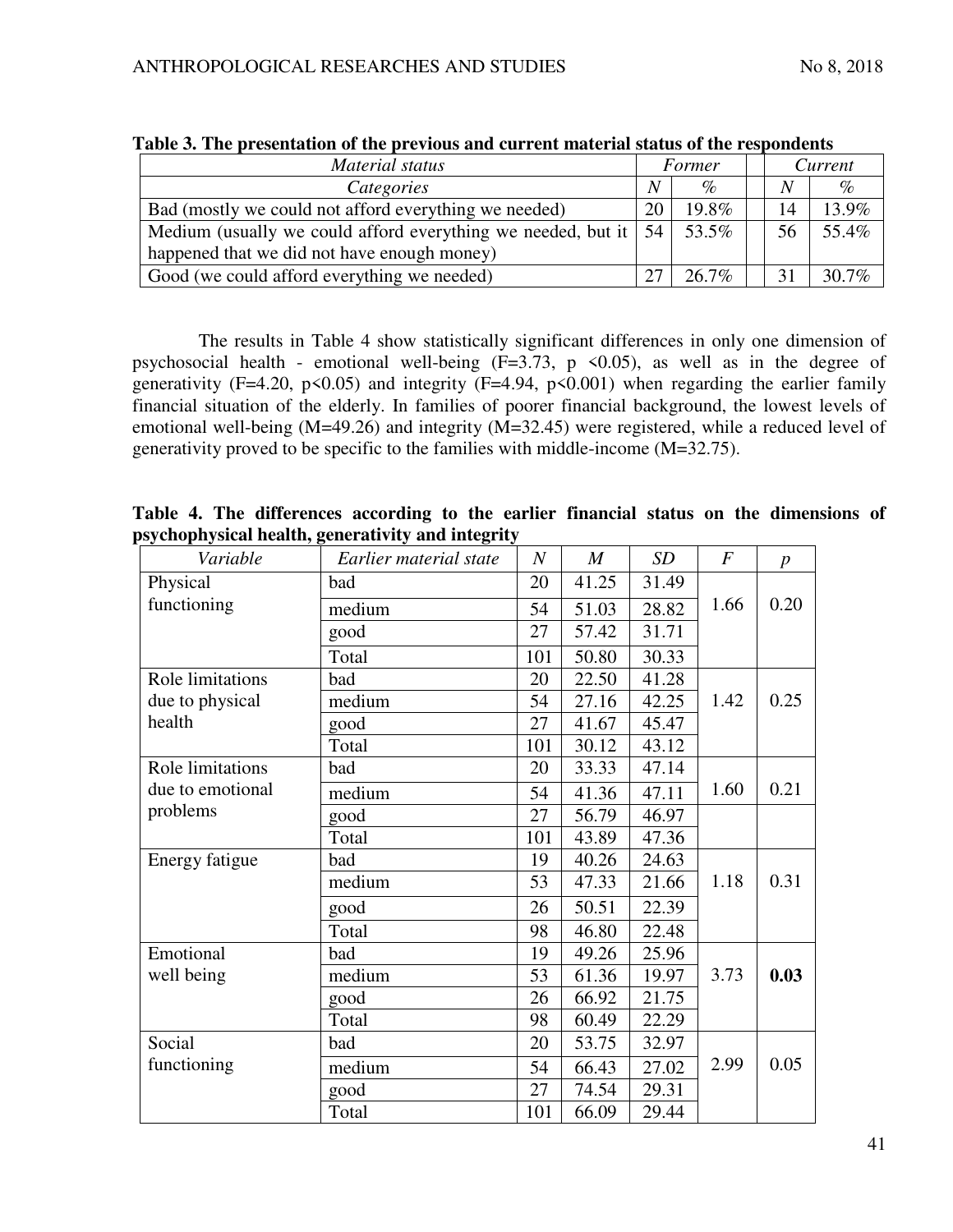| Material status                                              | Former    |       |  | Current |          |  |
|--------------------------------------------------------------|-----------|-------|--|---------|----------|--|
| Categories                                                   | N         | $\%$  |  |         | $\%$     |  |
| Bad (mostly we could not afford everything we needed)        | 20        | 19.8% |  | 14      | 13.9%    |  |
| Medium (usually we could afford everything we needed, but it | $54 \mid$ | 53.5% |  | 56      | 55.4%    |  |
| happened that we did not have enough money)                  |           |       |  |         |          |  |
| Good (we could afford everything we needed)                  | 27        | 26.7% |  |         | $30.7\%$ |  |

**Table 3. The presentation of the previous and current material status of the respondents** 

The results in Table 4 show statistically significant differences in only one dimension of psychosocial health - emotional well-being  $(F=3.73, p \le 0.05)$ , as well as in the degree of generativity (F=4.20,  $p \le 0.05$ ) and integrity (F=4.94,  $p \le 0.001$ ) when regarding the earlier family financial situation of the elderly. In families of poorer financial background, the lowest levels of emotional well-being (M=49.26) and integrity (M=32.45) were registered, while a reduced level of generativity proved to be specific to the families with middle-income (M=32.75).

**Table 4. The differences according to the earlier financial status on the dimensions of psychophysical health, generativity and integrity** 

| Variable         | Earlier material state | $\overline{N}$ | $\boldsymbol{M}$ | SD    | F    | $\boldsymbol{p}$ |
|------------------|------------------------|----------------|------------------|-------|------|------------------|
| Physical         | bad                    | 20             | 41.25            | 31.49 |      |                  |
| functioning      | medium                 | 54             | 51.03            | 28.82 | 1.66 | 0.20             |
|                  | good                   | 27             | 57.42            | 31.71 |      |                  |
|                  | Total                  | 101            | 50.80            | 30.33 |      |                  |
| Role limitations | bad                    | 20             | 22.50            | 41.28 |      |                  |
| due to physical  | medium                 | 54             | 27.16            | 42.25 | 1.42 | 0.25             |
| health           | good                   | 27             | 41.67            | 45.47 |      |                  |
|                  | Total                  | 101            | 30.12            | 43.12 |      |                  |
| Role limitations | bad                    | 20             | 33.33            | 47.14 |      |                  |
| due to emotional | medium                 | 54             | 41.36            | 47.11 | 1.60 | 0.21             |
| problems         | good                   | 27             | 56.79            | 46.97 |      |                  |
|                  | Total                  | 101            | 43.89            | 47.36 |      |                  |
| Energy fatigue   | bad                    | 19             | 40.26            | 24.63 |      |                  |
|                  | medium                 | 53             | 47.33            | 21.66 | 1.18 | 0.31             |
|                  | good                   | 26             | 50.51            | 22.39 |      |                  |
|                  | Total                  | 98             | 46.80            | 22.48 |      |                  |
| Emotional        | bad                    | 19             | 49.26            | 25.96 |      |                  |
| well being       | medium                 | 53             | 61.36            | 19.97 | 3.73 | 0.03             |
|                  | good                   | 26             | 66.92            | 21.75 |      |                  |
|                  | Total                  | 98             | 60.49            | 22.29 |      |                  |
| Social           | bad                    | 20             | 53.75            | 32.97 |      |                  |
| functioning      | medium                 | 54             | 66.43            | 27.02 | 2.99 | 0.05             |
|                  | good                   | 27             | 74.54            | 29.31 |      |                  |
|                  | Total                  | 101            | 66.09            | 29.44 |      |                  |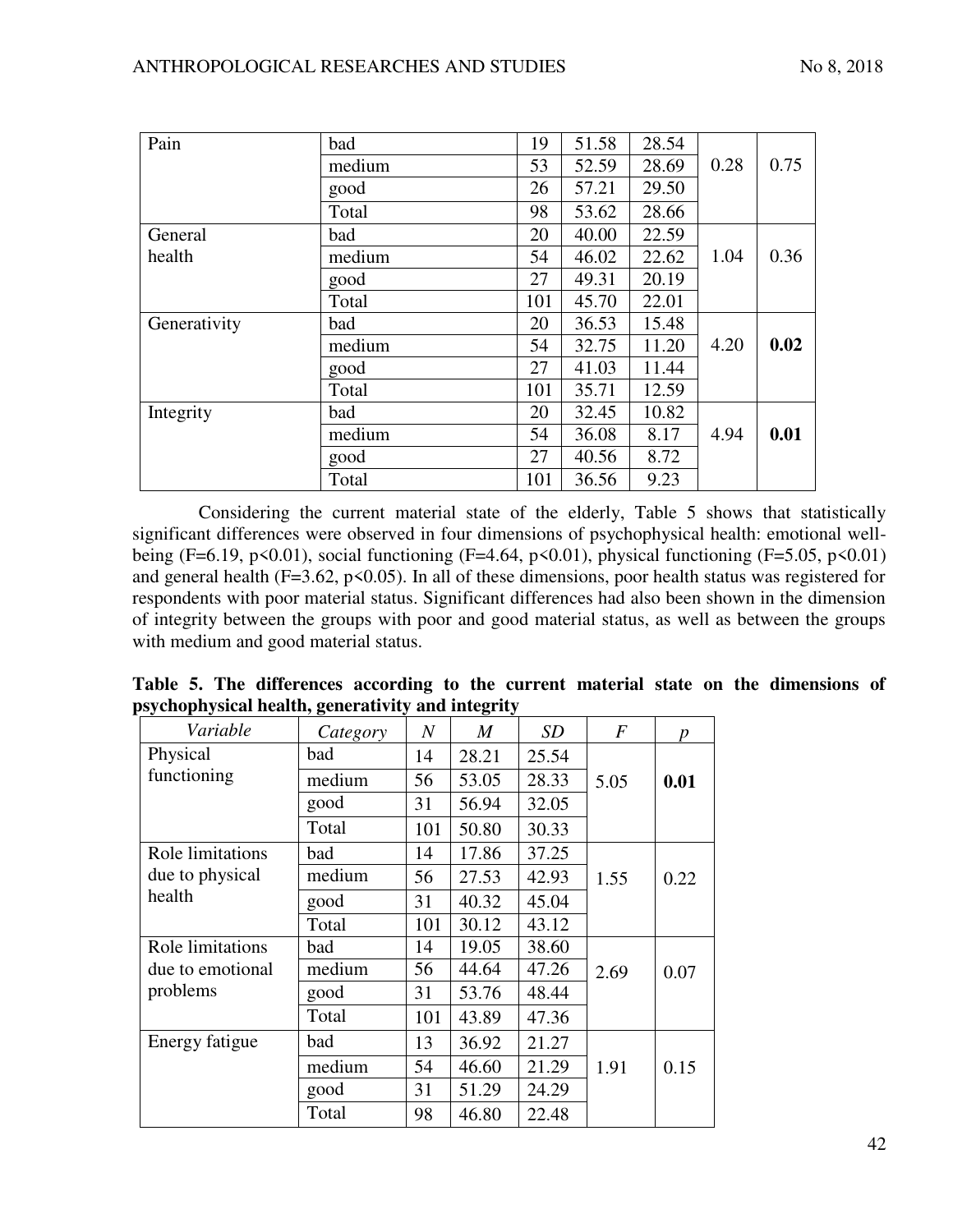| Pain         | bad    | 19  | 51.58 | 28.54 |      |      |
|--------------|--------|-----|-------|-------|------|------|
|              | medium | 53  | 52.59 | 28.69 | 0.28 | 0.75 |
|              | good   | 26  | 57.21 | 29.50 |      |      |
|              | Total  | 98  | 53.62 | 28.66 |      |      |
| General      | bad    | 20  | 40.00 | 22.59 |      |      |
| health       | medium | 54  | 46.02 | 22.62 | 1.04 | 0.36 |
|              | good   | 27  | 49.31 | 20.19 |      |      |
|              | Total  | 101 | 45.70 | 22.01 |      |      |
| Generativity | bad    | 20  | 36.53 | 15.48 |      |      |
|              | medium | 54  | 32.75 | 11.20 | 4.20 | 0.02 |
|              | good   | 27  | 41.03 | 11.44 |      |      |
|              | Total  | 101 | 35.71 | 12.59 |      |      |
| Integrity    | bad    | 20  | 32.45 | 10.82 |      |      |
|              | medium | 54  | 36.08 | 8.17  | 4.94 | 0.01 |
|              | good   | 27  | 40.56 | 8.72  |      |      |
|              | Total  | 101 | 36.56 | 9.23  |      |      |

Considering the current material state of the elderly, Table 5 shows that statistically significant differences were observed in four dimensions of psychophysical health: emotional wellbeing (F=6.19, p<0.01), social functioning (F=4.64, p<0.01), physical functioning (F=5.05, p<0.01) and general health ( $F=3.62$ ,  $p<0.05$ ). In all of these dimensions, poor health status was registered for respondents with poor material status. Significant differences had also been shown in the dimension of integrity between the groups with poor and good material status, as well as between the groups with medium and good material status.

|                                                   |  |  |  |  |  |  |  |  |  |  |  |  | Table 5. The differences according to the current material state on the dimensions of |  |
|---------------------------------------------------|--|--|--|--|--|--|--|--|--|--|--|--|---------------------------------------------------------------------------------------|--|
| psychophysical health, generativity and integrity |  |  |  |  |  |  |  |  |  |  |  |  |                                                                                       |  |
|                                                   |  |  |  |  |  |  |  |  |  |  |  |  |                                                                                       |  |

| Variable         | Category | $\boldsymbol{N}$ | M     | <b>SD</b> | F    | p    |
|------------------|----------|------------------|-------|-----------|------|------|
| Physical         | bad      | 14               | 28.21 | 25.54     |      |      |
| functioning      | medium   | 56               | 53.05 | 28.33     | 5.05 | 0.01 |
|                  | good     | 31               | 56.94 | 32.05     |      |      |
|                  | Total    | 101              | 50.80 | 30.33     |      |      |
| Role limitations | bad      | 14               | 17.86 | 37.25     |      |      |
| due to physical  | medium   | 56               | 27.53 | 42.93     | 1.55 | 0.22 |
| health           | good     | 31               | 40.32 | 45.04     |      |      |
|                  | Total    | 101              | 30.12 | 43.12     |      |      |
| Role limitations | bad      | 14               | 19.05 | 38.60     |      |      |
| due to emotional | medium   | 56               | 44.64 | 47.26     | 2.69 | 0.07 |
| problems         | good     | 31               | 53.76 | 48.44     |      |      |
|                  | Total    | 101              | 43.89 | 47.36     |      |      |
| Energy fatigue   | bad      | 13               | 36.92 | 21.27     |      |      |
|                  | medium   | 54               | 46.60 | 21.29     | 1.91 | 0.15 |
|                  | good     | 31               | 51.29 | 24.29     |      |      |
|                  | Total    | 98               | 46.80 | 22.48     |      |      |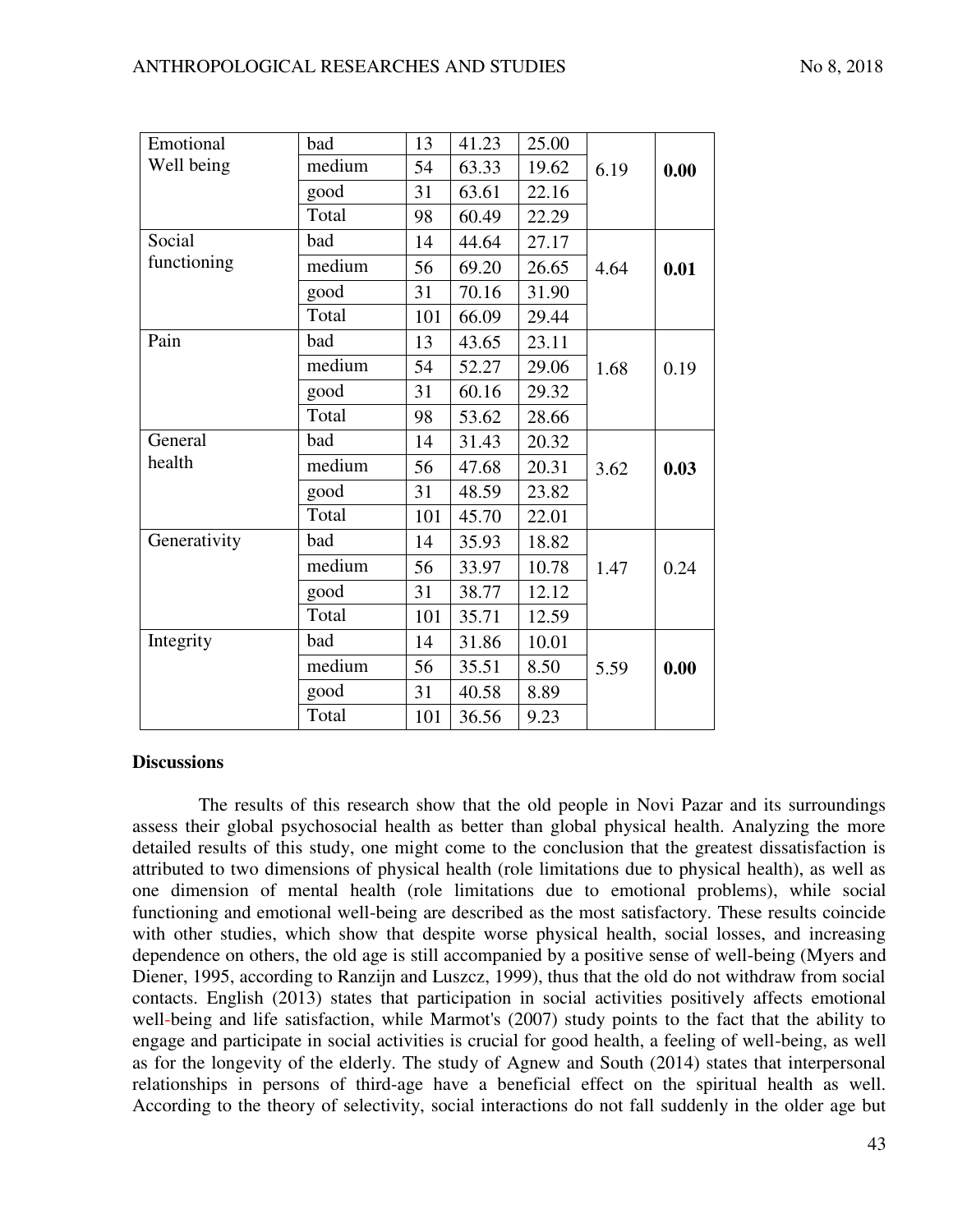| Emotional    | bad    | 13  | 41.23 | 25.00 |      |      |
|--------------|--------|-----|-------|-------|------|------|
| Well being   | medium | 54  | 63.33 | 19.62 | 6.19 | 0.00 |
|              | good   | 31  | 63.61 | 22.16 |      |      |
|              | Total  | 98  | 60.49 | 22.29 |      |      |
| Social       | bad    | 14  | 44.64 | 27.17 |      |      |
| functioning  | medium | 56  | 69.20 | 26.65 | 4.64 | 0.01 |
|              | good   | 31  | 70.16 | 31.90 |      |      |
|              | Total  | 101 | 66.09 | 29.44 |      |      |
| Pain         | bad    | 13  | 43.65 | 23.11 |      |      |
|              | medium | 54  | 52.27 | 29.06 | 1.68 | 0.19 |
|              | good   | 31  | 60.16 | 29.32 |      |      |
|              | Total  | 98  | 53.62 | 28.66 |      |      |
| General      | bad    | 14  | 31.43 | 20.32 |      |      |
| health       | medium | 56  | 47.68 | 20.31 | 3.62 | 0.03 |
|              | good   | 31  | 48.59 | 23.82 |      |      |
|              | Total  | 101 | 45.70 | 22.01 |      |      |
| Generativity | bad    | 14  | 35.93 | 18.82 |      |      |
|              | medium | 56  | 33.97 | 10.78 | 1.47 | 0.24 |
|              | good   | 31  | 38.77 | 12.12 |      |      |
|              | Total  | 101 | 35.71 | 12.59 |      |      |
| Integrity    | bad    | 14  | 31.86 | 10.01 |      |      |
|              | medium | 56  | 35.51 | 8.50  | 5.59 | 0.00 |
|              | good   | 31  | 40.58 | 8.89  |      |      |
|              | Total  | 101 | 36.56 | 9.23  |      |      |

## **Discussions**

The results of this research show that the old people in Novi Pazar and its surroundings assess their global psychosocial health as better than global physical health. Analyzing the more detailed results of this study, one might come to the conclusion that the greatest dissatisfaction is attributed to two dimensions of physical health (role limitations due to physical health), as well as one dimension of mental health (role limitations due to emotional problems), while social functioning and emotional well-being are described as the most satisfactory. These results coincide with other studies, which show that despite worse physical health, social losses, and increasing dependence on others, the old age is still accompanied by a positive sense of well-being (Myers and Diener, 1995, according to Ranzijn and Luszcz, 1999), thus that the old do not withdraw from social contacts. English (2013) states that participation in social activities positively affects emotional well-being and life satisfaction, while Marmot's (2007) study points to the fact that the ability to engage and participate in social activities is crucial for good health, a feeling of well-being, as well as for the longevity of the elderly. The study of Agnew and South (2014) states that interpersonal relationships in persons of third-age have a beneficial effect on the spiritual health as well. According to the theory of selectivity, social interactions do not fall suddenly in the older age but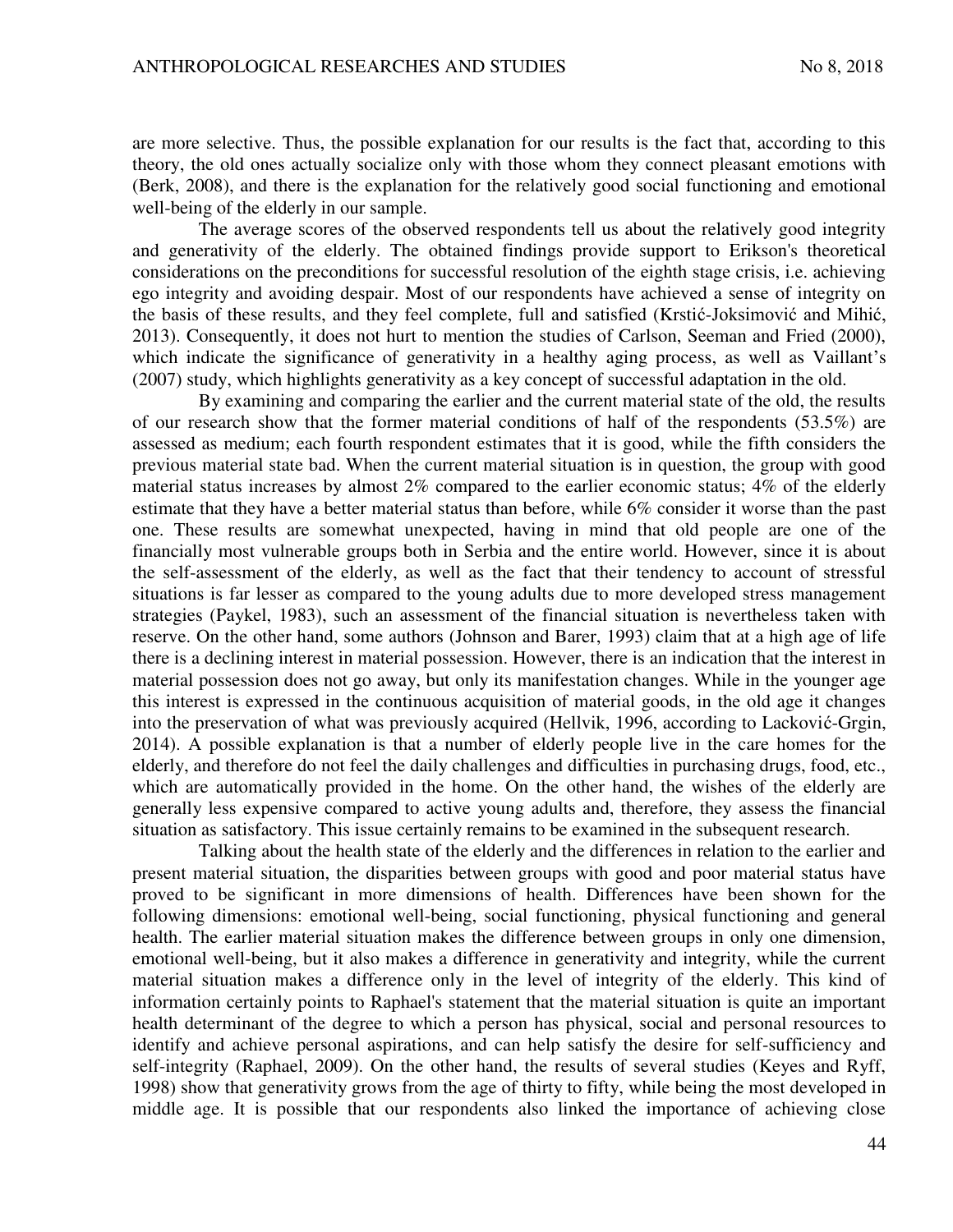are more selective. Thus, the possible explanation for our results is the fact that, according to this theory, the old ones actually socialize only with those whom they connect pleasant emotions with (Berk, 2008), and there is the explanation for the relatively good social functioning and emotional well-being of the elderly in our sample.

The average scores of the observed respondents tell us about the relatively good integrity and generativity of the elderly. The obtained findings provide support to Erikson's theoretical considerations on the preconditions for successful resolution of the eighth stage crisis, i.e. achieving ego integrity and avoiding despair. Most of our respondents have achieved a sense of integrity on the basis of these results, and they feel complete, full and satisfied (Krstić-Joksimović and Mihić, 2013). Consequently, it does not hurt to mention the studies of Carlson, Seeman and Fried (2000), which indicate the significance of generativity in a healthy aging process, as well as Vaillant's (2007) study, which highlights generativity as a key concept of successful adaptation in the old.

By examining and comparing the earlier and the current material state of the old, the results of our research show that the former material conditions of half of the respondents (53.5%) are assessed as medium; each fourth respondent estimates that it is good, while the fifth considers the previous material state bad. When the current material situation is in question, the group with good material status increases by almost 2% compared to the earlier economic status; 4% of the elderly estimate that they have a better material status than before, while 6% consider it worse than the past one. These results are somewhat unexpected, having in mind that old people are one of the financially most vulnerable groups both in Serbia and the entire world. However, since it is about the self-assessment of the elderly, as well as the fact that their tendency to account of stressful situations is far lesser as compared to the young adults due to more developed stress management strategies (Paykel, 1983), such an assessment of the financial situation is nevertheless taken with reserve. On the other hand, some authors (Johnson and Barer, 1993) claim that at a high age of life there is a declining interest in material possession. However, there is an indication that the interest in material possession does not go away, but only its manifestation changes. While in the younger age this interest is expressed in the continuous acquisition of material goods, in the old age it changes into the preservation of what was previously acquired (Hellvik, 1996, according to Lacković-Grgin, 2014). A possible explanation is that a number of elderly people live in the care homes for the elderly, and therefore do not feel the daily challenges and difficulties in purchasing drugs, food, etc., which are automatically provided in the home. On the other hand, the wishes of the elderly are generally less expensive compared to active young adults and, therefore, they assess the financial situation as satisfactory. This issue certainly remains to be examined in the subsequent research.

Talking about the health state of the elderly and the differences in relation to the earlier and present material situation, the disparities between groups with good and poor material status have proved to be significant in more dimensions of health. Differences have been shown for the following dimensions: emotional well-being, social functioning, physical functioning and general health. The earlier material situation makes the difference between groups in only one dimension, emotional well-being, but it also makes a difference in generativity and integrity, while the current material situation makes a difference only in the level of integrity of the elderly. This kind of information certainly points to Raphael's statement that the material situation is quite an important health determinant of the degree to which a person has physical, social and personal resources to identify and achieve personal aspirations, and can help satisfy the desire for self-sufficiency and self-integrity (Raphael, 2009). On the other hand, the results of several studies (Keyes and Ryff, 1998) show that generativity grows from the age of thirty to fifty, while being the most developed in middle age. It is possible that our respondents also linked the importance of achieving close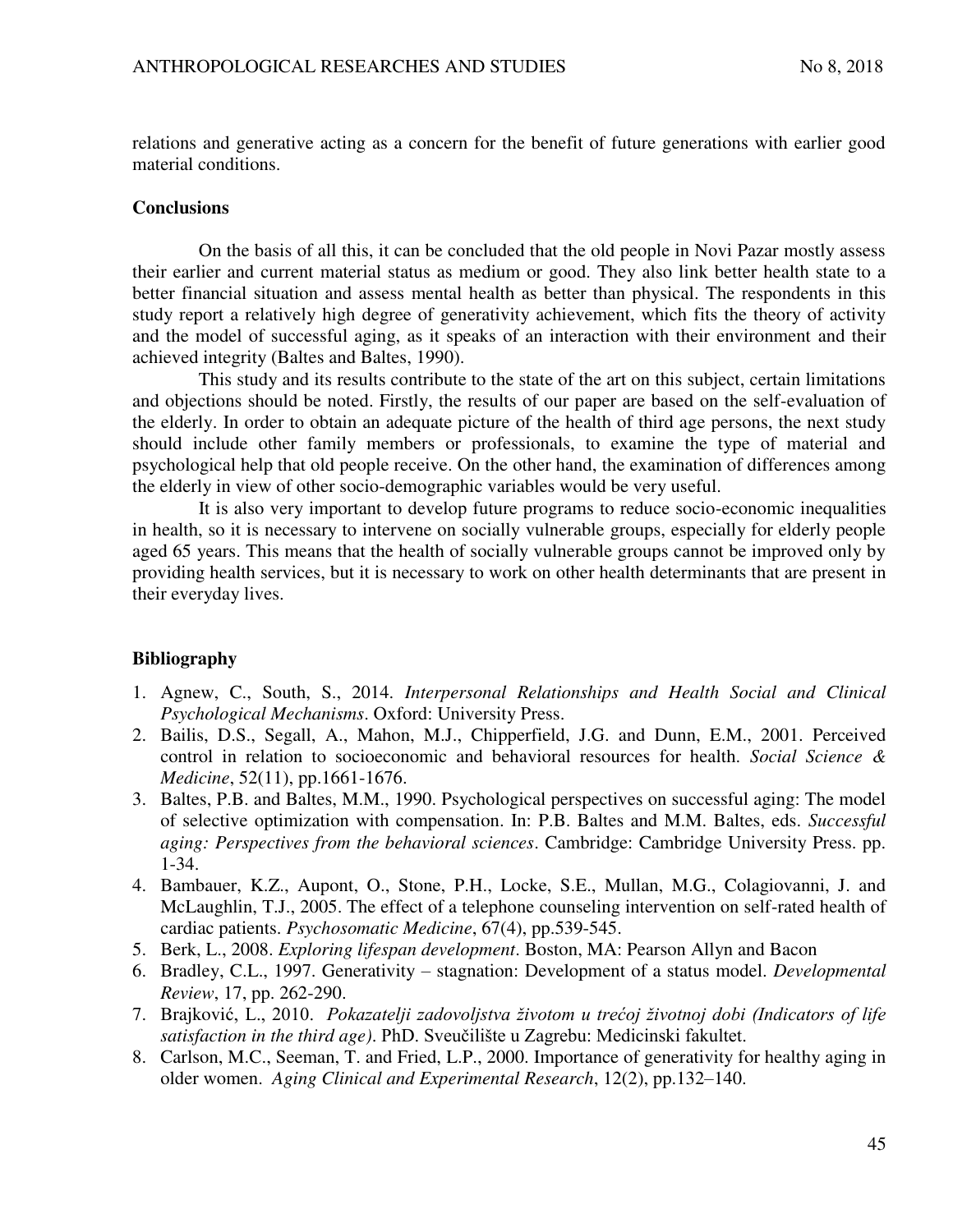relations and generative acting as a concern for the benefit of future generations with earlier good material conditions.

#### **Conclusions**

On the basis of all this, it can be concluded that the old people in Novi Pazar mostly assess their earlier and current material status as medium or good. They also link better health state to a better financial situation and assess mental health as better than physical. The respondents in this study report a relatively high degree of generativity achievement, which fits the theory of activity and the model of successful aging, as it speaks of an interaction with their environment and their achieved integrity (Baltes and Baltes, 1990).

This study and its results contribute to the state of the art on this subject, certain limitations and objections should be noted. Firstly, the results of our paper are based on the self-evaluation of the elderly. In order to obtain an adequate picture of the health of third age persons, the next study should include other family members or professionals, to examine the type of material and psychological help that old people receive. On the other hand, the examination of differences among the elderly in view of other socio-demographic variables would be very useful.

It is also very important to develop future programs to reduce socio-economic inequalities in health, so it is necessary to intervene on socially vulnerable groups, especially for elderly people aged 65 years. This means that the health of socially vulnerable groups cannot be improved only by providing health services, but it is necessary to work on other health determinants that are present in their everyday lives.

## **Bibliography**

- 1. Agnew, C., South, S., 2014. *Interpersonal Relationships and Health Social and Clinical Psychological Mechanisms*. Oxford: University Press.
- 2. Bailis, D.S., Segall, A., Mahon, M.J., Chipperfield, J.G. and Dunn, E.M., 2001. Perceived control in relation to socioeconomic and behavioral resources for health. *Social Science & Medicine*, 52(11), pp.1661-1676.
- 3. Baltes, P.B. and Baltes, M.M., 1990. Psychological perspectives on successful aging: The model of selective optimization with compensation. In: P.B. Baltes and M.M. Baltes, eds. *Successful aging: Perspectives from the behavioral sciences*. Cambridge: Cambridge University Press. pp. 1-34.
- 4. Bambauer, K.Z., Aupont, O., Stone, P.H., Locke, S.E., Mullan, M.G., Colagiovanni, J. and McLaughlin, T.J., 2005. The effect of a telephone counseling intervention on self-rated health of cardiac patients. *Psychosomatic Medicine*, 67(4), pp.539-545.
- 5. Berk, L., 2008. *Exploring lifespan development*. Boston, MA: Pearson Allyn and Bacon
- 6. Bradley, C.L., 1997. Generativity stagnation: Development of a status model. *Developmental Review*, 17, pp. 262-290.
- 7. Brajković, L., 2010. *Pokazatelji zadovoljstva životom u trećoj životnoj dobi (Indicators of life satisfaction in the third age)*. PhD. Sveučilište u Zagrebu: Medicinski fakultet.
- 8. Carlson, M.C., Seeman, T. and Fried, L.P., 2000. Importance of generativity for healthy aging in older women. *Aging Clinical and Experimental Research*, 12(2), pp.132–140.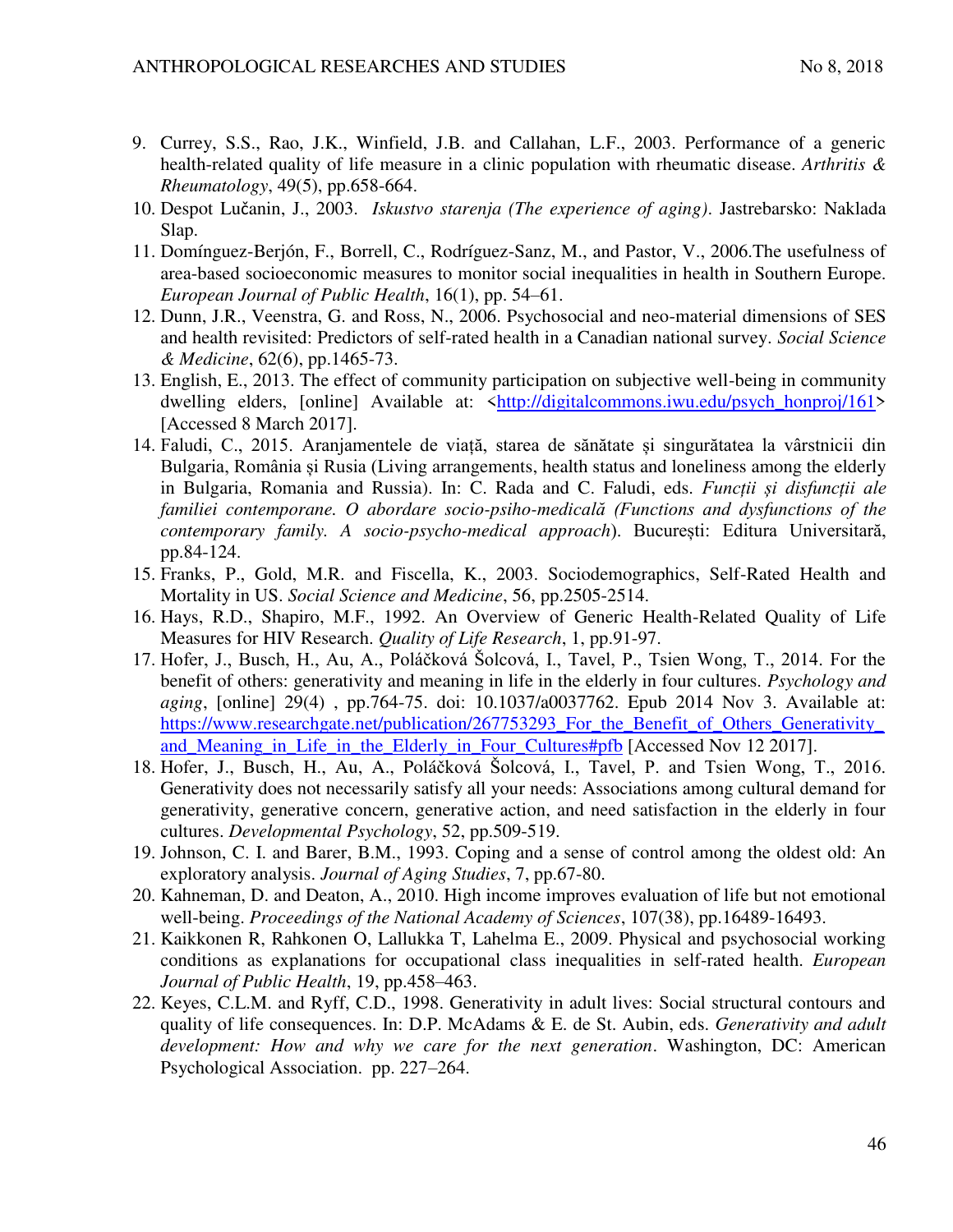- 9. Currey, S.S., Rao, J.K., Winfield, J.B. and Callahan, L.F., 2003. Performance of a generic health-related quality of life measure in a clinic population with rheumatic disease. *Arthritis & Rheumatology*, 49(5), pp.658-664.
- 10. Despot Lučanin, J., 2003. *Iskustvo starenja (The experience of aging)*. Jastrebarsko: Naklada Slap.
- 11. Domínguez-Berjón, F., Borrell, C., Rodríguez-Sanz, M., and Pastor, V., 2006.The usefulness of area-based socioeconomic measures to monitor social inequalities in health in Southern Europe. *European Journal of Public Health*, 16(1), pp. 54–61.
- 12. Dunn, J.R., Veenstra, G. and Ross, N., 2006. Psychosocial and neo-material dimensions of SES and health revisited: Predictors of self-rated health in a Canadian national survey. *Social Science & Medicine*, 62(6), pp.1465-73.
- 13. English, E., 2013. The effect of community participation on subjective well-being in community dwelling elders, [online] Available at: [<http://digitalcommons.iwu.edu/psych\\_honproj/161>](http://digitalcommons.iwu.edu/psych_honproj/161) [Accessed 8 March 2017].
- 14. Faludi, C., 2015. Aranjamentele de viață, starea de sănătate și singurătatea la vârstnicii din Bulgaria, România și Rusia (Living arrangements, health status and loneliness among the elderly in Bulgaria, Romania and Russia). In: C. Rada and C. Faludi, eds. *Funcții și disfuncții ale familiei contemporane. O abordare socio-psiho-medicală (Functions and dysfunctions of the contemporary family. A socio-psycho-medical approach*). București: Editura Universitară, pp.84-124.
- 15. Franks, P., Gold, M.R. and Fiscella, K., 2003. Sociodemographics, Self-Rated Health and Mortality in US. *Social Science and Medicine*, 56, pp.2505-2514.
- 16. Hays, R.D., Shapiro, M.F., 1992. An Overview of Generic Health-Related Quality of Life Measures for HIV Research. *Quality of Life Research*, 1, pp.91-97.
- 17. Hofer, J., Busch, H., Au, A., Poláčková Šolcová, I., Tavel, P., Tsien Wong, T., 2014. For the benefit of others: generativity and meaning in life in the elderly in four cultures. *Psychology and aging*, [online] 29(4) , pp.764-75. doi: 10.1037/a0037762. Epub 2014 Nov 3. Available at: https://www.researchgate.net/publication/267753293 For the Benefit of Others Generativity and Meaning in Life in the Elderly in Four Cultures#pfb [Accessed Nov 12 2017].
- 18. Hofer, J., Busch, H., Au, A., Poláčková Šolcová, I., Tavel, P. and Tsien Wong, T., 2016. Generativity does not necessarily satisfy all your needs: Associations among cultural demand for generativity, generative concern, generative action, and need satisfaction in the elderly in four cultures. *Developmental Psychology*, 52, pp.509-519.
- 19. Johnson, C. I. and Barer, B.M., 1993. Coping and a sense of control among the oldest old: An exploratory analysis. *Journal of Aging Studies*, 7, pp.67-80.
- 20. Kahneman, D. and Deaton, A., 2010. High income improves evaluation of life but not emotional well-being. *Proceedings of the National Academy of Sciences*, 107(38), pp.16489-16493.
- 21. Kaikkonen R, Rahkonen O, Lallukka T, Lahelma E., 2009. Physical and psychosocial working conditions as explanations for occupational class inequalities in self-rated health. *European Journal of Public Health*, 19, pp.458–463.
- 22. Keyes, C.L.M. and Ryff, C.D., 1998. Generativity in adult lives: Social structural contours and quality of life consequences. In: D.P. McAdams & E. de St. Aubin, eds. *Generativity and adult development: How and why we care for the next generation*. Washington, DC: American Psychological Association. pp. 227–264.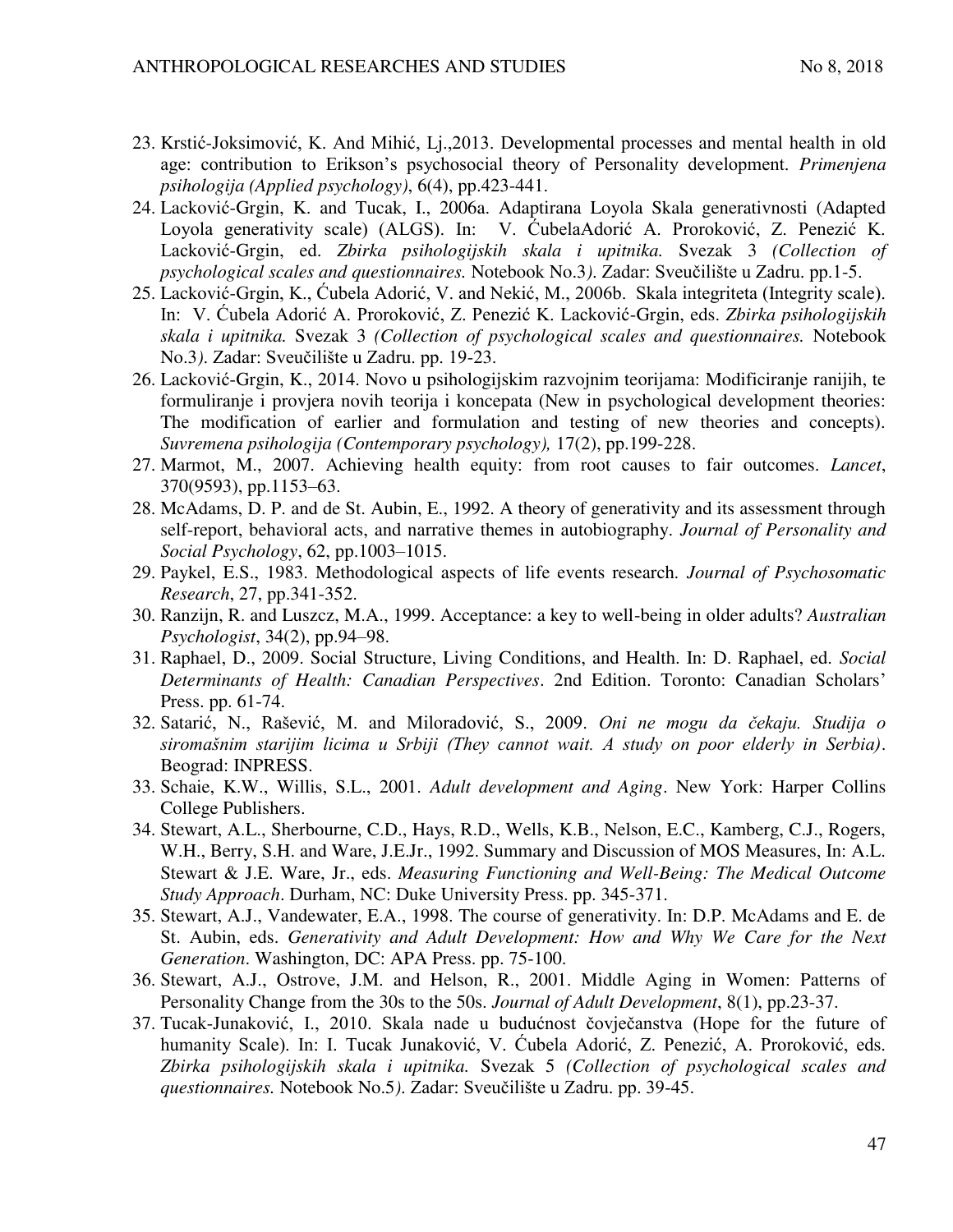- 23. Krstić-Joksimović, K. And Mihić, Lj.,2013. Developmental processes and mental health in old age: contribution to Erikson's psychosocial theory of Personality development. *Primenjena psihologija (Applied psychology)*, 6(4), pp.423-441.
- 24. Lacković-Grgin, K. and Tucak, I., 2006a. Adaptirana Loyola Skala generativnosti (Adapted Loyola generativity scale) (ALGS). In: V. ĆubelaAdorić A. Proroković, Z. Penezić K. Lacković-Grgin, ed. *Zbirka psihologijskih skala i upitnika.* Svezak 3 *(Collection of psychological scales and questionnaires.* Notebook No.3*)*. Zadar: Sveučilište u Zadru. pp.1-5.
- 25. Lacković-Grgin, K., Ćubela Adorić, V. and Nekić, M., 2006b. Skala integriteta (Integrity scale). In: V. Ćubela Adorić A. Proroković, Z. Penezić K. Lacković-Grgin, eds. *Zbirka psihologijskih skala i upitnika.* Svezak 3 *(Collection of psychological scales and questionnaires.* Notebook No.3*)*. Zadar: Sveučilište u Zadru. pp. 19-23.
- 26. Lacković-Grgin, K., 2014. Novo u psihologijskim razvojnim teorijama: Modificiranje ranijih, te formuliranje i provjera novih teorija i koncepata (New in psychological development theories: The modification of earlier and formulation and testing of new theories and concepts). *Suvremena psihologija (Contemporary psychology),* 17(2), pp.199-228.
- 27. Marmot, M., 2007. Achieving health equity: from root causes to fair outcomes. *Lancet*, 370(9593), pp.1153–63.
- 28. McAdams, D. P. and de St. Aubin, E., 1992. A theory of generativity and its assessment through self-report, behavioral acts, and narrative themes in autobiography. *Journal of Personality and Social Psychology*, 62, pp.1003–1015.
- 29. Paykel, E.S., 1983. Methodological aspects of life events research*. Journal of Psychosomatic Research*, 27, pp.341-352.
- 30. Ranzijn, R. and Luszcz, M.A., 1999. Acceptance: a key to well-being in older adults? *Australian Psychologist*, 34(2), pp.94–98.
- 31. Raphael, D., 2009. Social Structure, Living Conditions, and Health. In: D. Raphael, ed. *Social Determinants of Health: Canadian Perspectives*. 2nd Edition. Toronto: Canadian Scholars' Press. pp. 61-74.
- 32. Satarić, N., Rašević, M. and Miloradović, S., 2009. *Oni ne mogu da čekaju. Studija o siromašnim starijim licima u Srbiji (They cannot wait. A study on poor elderly in Serbia)*. Beograd: INPRESS.
- 33. Schaie, K.W., Willis, S.L., 2001. *Adult development and Aging*. New York: Harper Collins College Publishers.
- 34. Stewart, A.L., Sherbourne, C.D., Hays, R.D., Wells, K.B., Nelson, E.C., Kamberg, C.J., Rogers, W.H., Berry, S.H. and Ware, J.E.Jr., 1992. Summary and Discussion of MOS Measures, In: A.L. Stewart & J.E. Ware, Jr., eds. *Measuring Functioning and Well-Being: The Medical Outcome Study Approach*. Durham, NC: Duke University Press. pp. 345-371.
- 35. Stewart, A.J., Vandewater, E.A., 1998. The course of generativity. In: D.P. McAdams and E. de St. Aubin, eds. *Generativity and Adult Development: How and Why We Care for the Next Generation*. Washington, DC: APA Press. pp. 75-100.
- 36. Stewart, A.J., Ostrove, J.M. and Helson, R., 2001. Middle Aging in Women: Patterns of Personality Change from the 30s to the 50s. *Journal of Adult Development*, 8(1), pp.23-37.
- 37. Tucak-Junaković, I., 2010. Skala nade u budućnost čovječanstva (Hope for the future of humanity Scale). In: I. Tucak Junaković, V. Ćubela Adorić, Z. Penezić, A. Proroković, eds. *Zbirka psihologijskih skala i upitnika.* Svezak 5 *(Collection of psychological scales and questionnaires.* Notebook No.5*)*. Zadar: Sveučilište u Zadru. pp. 39-45.